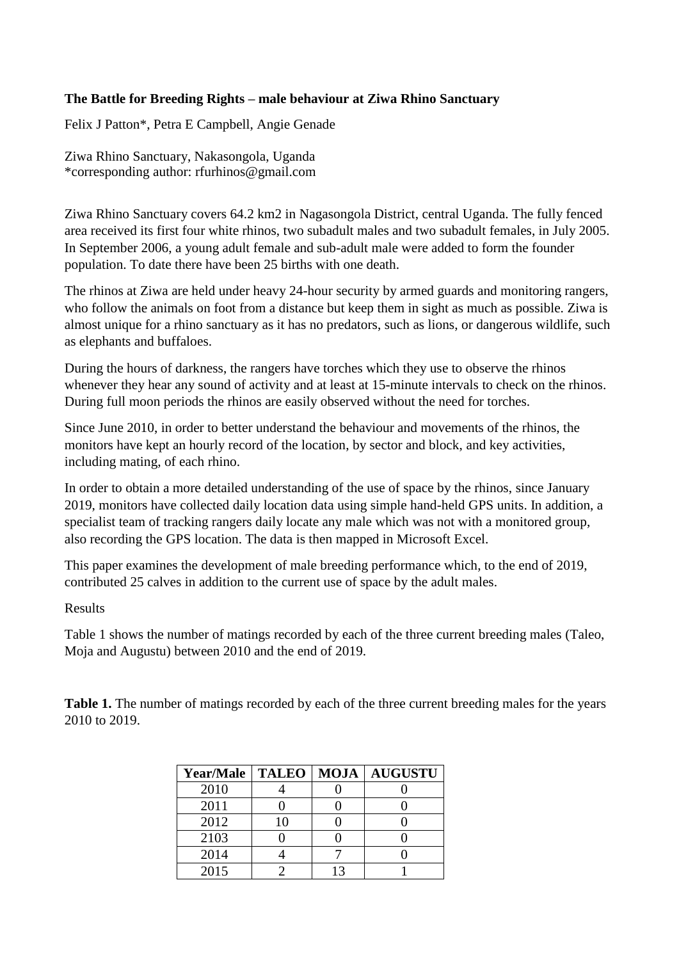## **The Battle for Breeding Rights – male behaviour at Ziwa Rhino Sanctuary**

Felix J Patton\*, Petra E Campbell, Angie Genade

Ziwa Rhino Sanctuary, Nakasongola, Uganda \*corresponding author: rfurhinos@gmail.com

Ziwa Rhino Sanctuary covers 64.2 km2 in Nagasongola District, central Uganda. The fully fenced area received its first four white rhinos, two subadult males and two subadult females, in July 2005. In September 2006, a young adult female and sub-adult male were added to form the founder population. To date there have been 25 births with one death.

The rhinos at Ziwa are held under heavy 24-hour security by armed guards and monitoring rangers, who follow the animals on foot from a distance but keep them in sight as much as possible. Ziwa is almost unique for a rhino sanctuary as it has no predators, such as lions, or dangerous wildlife, such as elephants and buffaloes.

During the hours of darkness, the rangers have torches which they use to observe the rhinos whenever they hear any sound of activity and at least at 15-minute intervals to check on the rhinos. During full moon periods the rhinos are easily observed without the need for torches.

Since June 2010, in order to better understand the behaviour and movements of the rhinos, the monitors have kept an hourly record of the location, by sector and block, and key activities, including mating, of each rhino.

In order to obtain a more detailed understanding of the use of space by the rhinos, since January 2019, monitors have collected daily location data using simple hand-held GPS units. In addition, a specialist team of tracking rangers daily locate any male which was not with a monitored group, also recording the GPS location. The data is then mapped in Microsoft Excel.

This paper examines the development of male breeding performance which, to the end of 2019, contributed 25 calves in addition to the current use of space by the adult males.

Results

Table 1 shows the number of matings recorded by each of the three current breeding males (Taleo, Moja and Augustu) between 2010 and the end of 2019.

**Table 1.** The number of matings recorded by each of the three current breeding males for the years 2010 to 2019.

| Year/Male | <b>TALEO</b> | <b>MOJA</b> | <b>AUGUSTU</b> |  |
|-----------|--------------|-------------|----------------|--|
| 2010      |              |             |                |  |
| 2011      |              |             |                |  |
| 2012      | 10           |             |                |  |
| 2103      |              |             |                |  |
| 2014      |              |             |                |  |
| 2015      |              |             |                |  |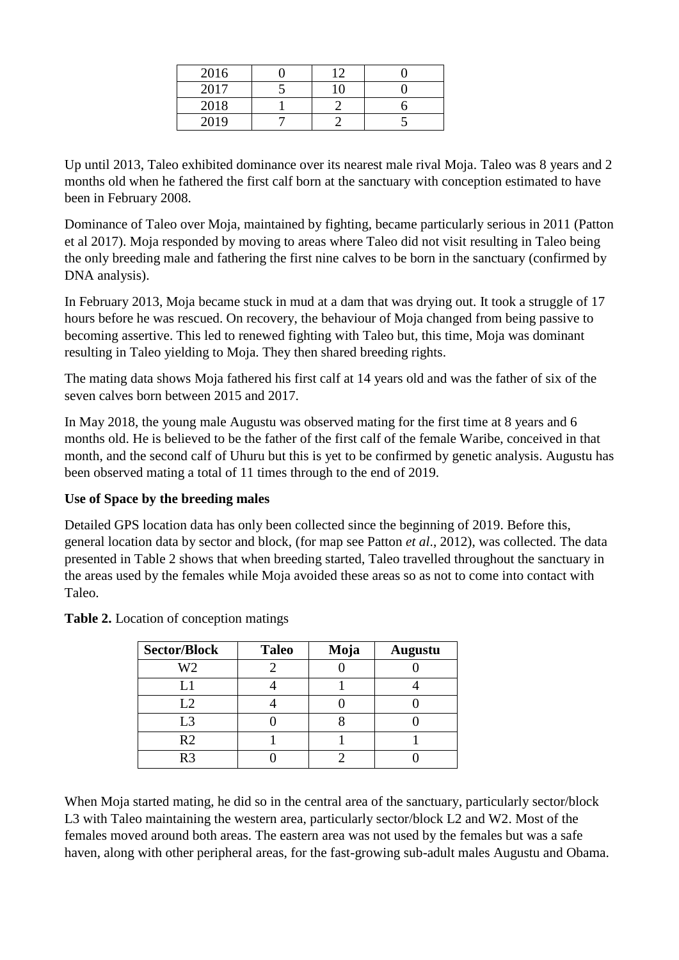| 2016 | 12 |  |
|------|----|--|
| 2017 |    |  |
| 2018 |    |  |
| 2019 |    |  |

Up until 2013, Taleo exhibited dominance over its nearest male rival Moja. Taleo was 8 years and 2 months old when he fathered the first calf born at the sanctuary with conception estimated to have been in February 2008.

Dominance of Taleo over Moja, maintained by fighting, became particularly serious in 2011 (Patton et al 2017). Moja responded by moving to areas where Taleo did not visit resulting in Taleo being the only breeding male and fathering the first nine calves to be born in the sanctuary (confirmed by DNA analysis).

In February 2013, Moja became stuck in mud at a dam that was drying out. It took a struggle of 17 hours before he was rescued. On recovery, the behaviour of Moja changed from being passive to becoming assertive. This led to renewed fighting with Taleo but, this time, Moja was dominant resulting in Taleo yielding to Moja. They then shared breeding rights.

The mating data shows Moja fathered his first calf at 14 years old and was the father of six of the seven calves born between 2015 and 2017.

In May 2018, the young male Augustu was observed mating for the first time at 8 years and 6 months old. He is believed to be the father of the first calf of the female Waribe, conceived in that month, and the second calf of Uhuru but this is yet to be confirmed by genetic analysis. Augustu has been observed mating a total of 11 times through to the end of 2019.

## **Use of Space by the breeding males**

Detailed GPS location data has only been collected since the beginning of 2019. Before this, general location data by sector and block, (for map see Patton *et al*., 2012), was collected. The data presented in Table 2 shows that when breeding started, Taleo travelled throughout the sanctuary in the areas used by the females while Moja avoided these areas so as not to come into contact with Taleo.

| <b>Sector/Block</b> | <b>Taleo</b> | Moja | <b>Augustu</b> |  |  |
|---------------------|--------------|------|----------------|--|--|
| W <sub>2</sub>      |              |      |                |  |  |
| I 1                 |              |      |                |  |  |
| L2                  |              |      |                |  |  |
| L <sub>3</sub>      |              |      |                |  |  |
| R <sub>2</sub>      |              |      |                |  |  |
| R3                  |              |      |                |  |  |

**Table 2.** Location of conception matings

When Moja started mating, he did so in the central area of the sanctuary, particularly sector/block L3 with Taleo maintaining the western area, particularly sector/block L2 and W2. Most of the females moved around both areas. The eastern area was not used by the females but was a safe haven, along with other peripheral areas, for the fast-growing sub-adult males Augustu and Obama.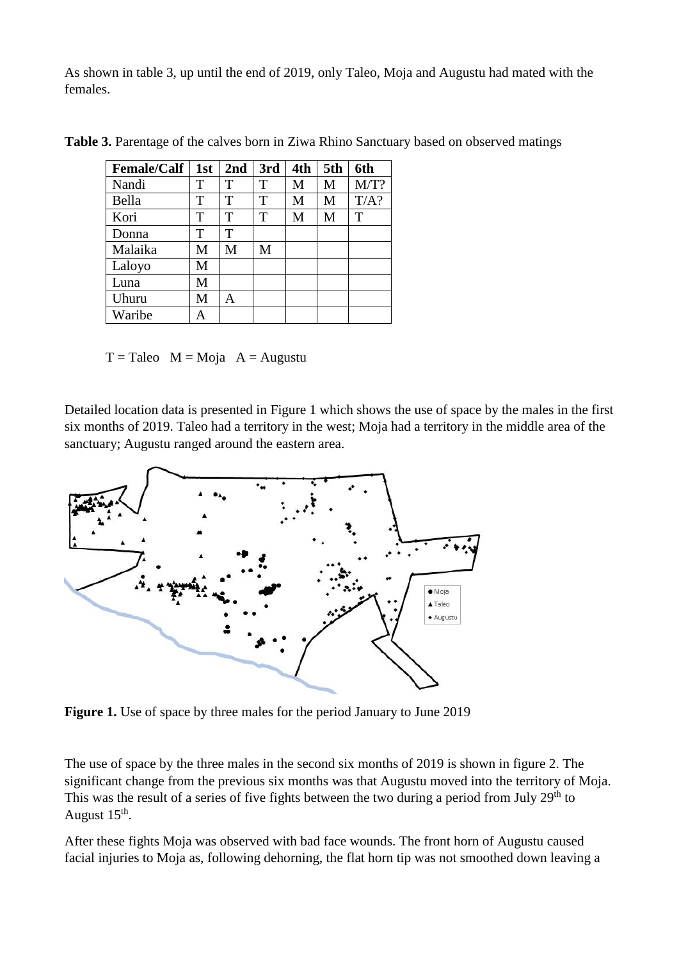As shown in table 3, up until the end of 2019, only Taleo, Moja and Augustu had mated with the females.

| <b>Female/Calf</b> | 1st | 2nd | 3rd | 4th | 5th | 6th  |
|--------------------|-----|-----|-----|-----|-----|------|
| Nandi              | T   | T   | T   | M   | M   | M/T? |
| Bella              | T   | T   | т   | M   | M   | T/A? |
| Kori               | T   | т   | T   | М   | M   | T    |
| Donna              | T   | T   |     |     |     |      |
| Malaika            | M   | M   | M   |     |     |      |
| Laloyo             | M   |     |     |     |     |      |
| Luna               | M   |     |     |     |     |      |
| Uhuru              | M   | A   |     |     |     |      |
| Waribe             | А   |     |     |     |     |      |

**Table 3.** Parentage of the calves born in Ziwa Rhino Sanctuary based on observed matings

 $T =$ Taleo M = Moja A = Augustu

Detailed location data is presented in Figure 1 which shows the use of space by the males in the first six months of 2019. Taleo had a territory in the west; Moja had a territory in the middle area of the sanctuary; Augustu ranged around the eastern area.



**Figure 1.** Use of space by three males for the period January to June 2019

The use of space by the three males in the second six months of 2019 is shown in figure 2. The significant change from the previous six months was that Augustu moved into the territory of Moja. This was the result of a series of five fights between the two during a period from July  $29<sup>th</sup>$  to August  $15^{\text{th}}$ .

After these fights Moja was observed with bad face wounds. The front horn of Augustu caused facial injuries to Moja as, following dehorning, the flat horn tip was not smoothed down leaving a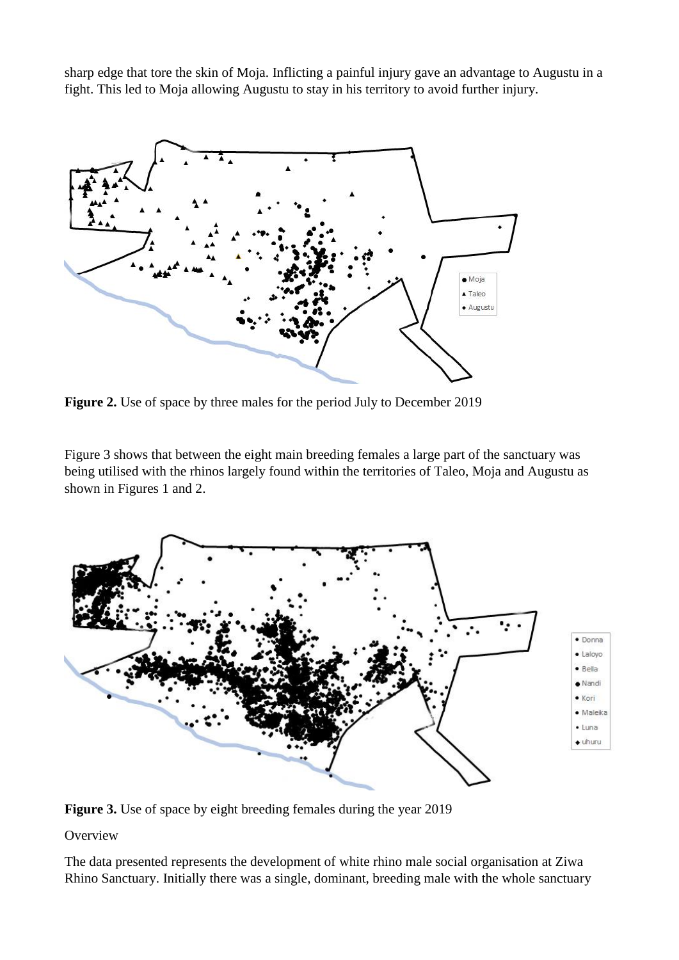sharp edge that tore the skin of Moja. Inflicting a painful injury gave an advantage to Augustu in a fight. This led to Moja allowing Augustu to stay in his territory to avoid further injury.



**Figure 2.** Use of space by three males for the period July to December 2019

Figure 3 shows that between the eight main breeding females a large part of the sanctuary was being utilised with the rhinos largely found within the territories of Taleo, Moja and Augustu as shown in Figures 1 and 2.



**Figure 3.** Use of space by eight breeding females during the year 2019

**Overview** 

The data presented represents the development of white rhino male social organisation at Ziwa Rhino Sanctuary. Initially there was a single, dominant, breeding male with the whole sanctuary